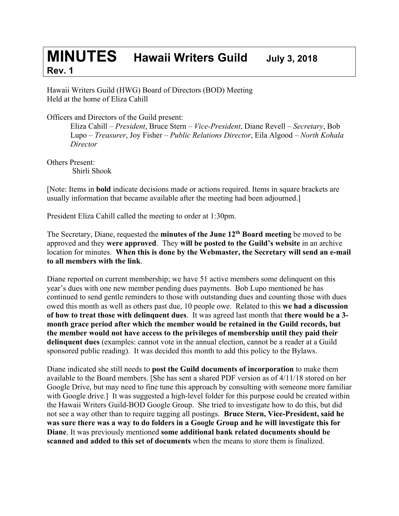## **MINUTES Hawaii Writers Guild July 3, <sup>2018</sup> Rev. 1**

Hawaii Writers Guild (HWG) Board of Directors (BOD) Meeting Held at the home of Eliza Cahill

Officers and Directors of the Guild present:

Eliza Cahill – *President*, Bruce Stern – *Vice-President*, Diane Revell – *Secretary*, Bob Lupo – *Treasurer*, Joy Fisher – *Public Relations Director*, Eila Algood – *North Kohala Director*

Others Present: Shirli Shook

[Note: Items in **bold** indicate decisions made or actions required. Items in square brackets are usually information that became available after the meeting had been adjourned.]

President Eliza Cahill called the meeting to order at 1:30pm.

The Secretary, Diane, requested the **minutes of the June 12th Board meeting** be moved to be approved and they **were approved**. They **will be posted to the Guild's website** in an archive location for minutes. **When this is done by the Webmaster, the Secretary will send an e-mail to all members with the link**.

Diane reported on current membership; we have 51 active members some delinquent on this year's dues with one new member pending dues payments. Bob Lupo mentioned he has continued to send gentle reminders to those with outstanding dues and counting those with dues owed this month as well as others past due, 10 people owe. Related to this **we had a discussion of how to treat those with delinquent dues**. It was agreed last month that **there would be a 3 month grace period after which the member would be retained in the Guild records, but the member would not have access to the privileges of membership until they paid their delinquent dues** (examples: cannot vote in the annual election, cannot be a reader at a Guild sponsored public reading). It was decided this month to add this policy to the Bylaws.

Diane indicated she still needs to **post the Guild documents of incorporation** to make them available to the Board members. [She has sent a shared PDF version as of 4/11/18 stored on her Google Drive, but may need to fine tune this approach by consulting with someone more familiar with Google drive.] It was suggested a high-level folder for this purpose could be created within the Hawaii Writers Guild-BOD Google Group. She tried to investigate how to do this, but did not see a way other than to require tagging all postings. **Bruce Stern, Vice-President, said he was sure there was a way to do folders in a Google Group and he will investigate this for Diane**. It was previously mentioned **some additional bank related documents should be scanned and added to this set of documents** when the means to store them is finalized.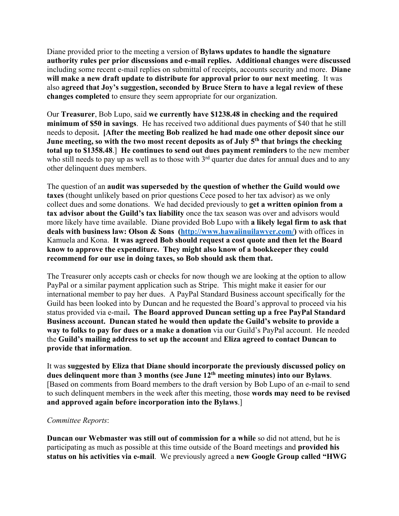Diane provided prior to the meeting a version of **Bylaws updates to handle the signature authority rules per prior discussions and e-mail replies. Additional changes were discussed** including some recent e-mail replies on submittal of receipts, accounts security and more. **Diane will make a new draft update to distribute for approval prior to our next meeting**. It was also **agreed that Joy's suggestion, seconded by Bruce Stern to have a legal review of these changes completed** to ensure they seem appropriate for our organization.

Our **Treasurer**, Bob Lupo, said **we currently have \$1238.48 in checking and the required minimum of \$50 in savings**. He has received two additional dues payments of \$40 that he still needs to deposit**. [After the meeting Bob realized he had made one other deposit since our June meeting, so with the two most recent deposits as of July 5th that brings the checking total up to \$1358.48**.] **He continues to send out dues payment reminders** to the new member who still needs to pay up as well as to those with  $3<sup>rd</sup>$  quarter due dates for annual dues and to any other delinquent dues members.

The question of an **audit was superseded by the question of whether the Guild would owe taxes** (thought unlikely based on prior questions Cece posed to her tax advisor) as we only collect dues and some donations. We had decided previously to **get a written opinion from a tax advisor about the Guild's tax liability** once the tax season was over and advisors would more likely have time available. Diane provided Bob Lupo with **a likely legal firm to ask that deals with business law: Olson & Sons (http://www.hawaiinuilawyer.com/)** with offices in Kamuela and Kona. **It was agreed Bob should request a cost quote and then let the Board know to approve the expenditure. They might also know of a bookkeeper they could recommend for our use in doing taxes, so Bob should ask them that.**

The Treasurer only accepts cash or checks for now though we are looking at the option to allow PayPal or a similar payment application such as Stripe. This might make it easier for our international member to pay her dues. A PayPal Standard Business account specifically for the Guild has been looked into by Duncan and he requested the Board's approval to proceed via his status provided via e-mail**. The Board approved Duncan setting up a free PayPal Standard Business account. Duncan stated he would then update the Guild's website to provide a way to folks to pay for dues or a make a donation** via our Guild's PayPal account. He needed the **Guild's mailing address to set up the account** and **Eliza agreed to contact Duncan to provide that information**.

It was **suggested by Eliza that Diane should incorporate the previously discussed policy on dues delinquent more than 3 months (see June 12th meeting minutes) into our Bylaws**. [Based on comments from Board members to the draft version by Bob Lupo of an e-mail to send to such delinquent members in the week after this meeting, those **words may need to be revised and approved again before incorporation into the Bylaws**.]

## *Committee Reports*:

**Duncan our Webmaster was still out of commission for a while** so did not attend, but he is participating as much as possible at this time outside of the Board meetings and **provided his status on his activities via e-mail**. We previously agreed a **new Google Group called "HWG**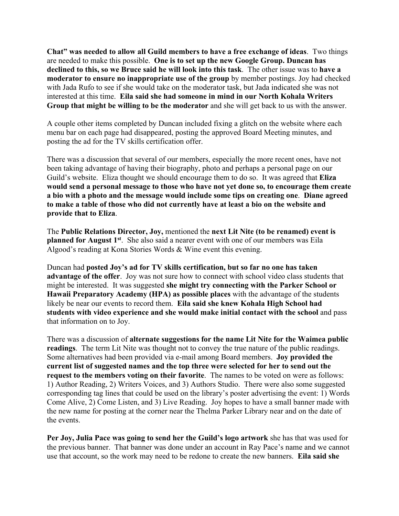**Chat" was needed to allow all Guild members to have a free exchange of ideas**. Two things are needed to make this possible. **One is to set up the new Google Group. Duncan has declined to this, so we Bruce said he will look into this task**. The other issue was to **have a moderator to ensure no inappropriate use of the group** by member postings. Joy had checked with Jada Rufo to see if she would take on the moderator task, but Jada indicated she was not interested at this time. **Eila said she had someone in mind in our North Kohala Writers Group that might be willing to be the moderator** and she will get back to us with the answer.

A couple other items completed by Duncan included fixing a glitch on the website where each menu bar on each page had disappeared, posting the approved Board Meeting minutes, and posting the ad for the TV skills certification offer.

There was a discussion that several of our members, especially the more recent ones, have not been taking advantage of having their biography, photo and perhaps a personal page on our Guild's website. Eliza thought we should encourage them to do so. It was agreed that **Eliza would send a personal message to those who have not yet done so, to encourage them create a bio with a photo and the message would include some tips on creating one**. **Diane agreed to make a table of those who did not currently have at least a bio on the website and provide that to Eliza**.

The **Public Relations Director, Joy,** mentioned the **next Lit Nite (to be renamed) event is planned for August 1st**. She also said a nearer event with one of our members was Eila Algood's reading at Kona Stories Words & Wine event this evening.

Duncan had **posted Joy's ad for TV skills certification, but so far no one has taken advantage of the offer**. Joy was not sure how to connect with school video class students that might be interested. It was suggested **she might try connecting with the Parker School or Hawaii Preparatory Academy (HPA) as possible places** with the advantage of the students likely be near our events to record them. **Eila said she knew Kohala High School had students with video experience and she would make initial contact with the school** and pass that information on to Joy.

There was a discussion of **alternate suggestions for the name Lit Nite for the Waimea public readings**. The term Lit Nite was thought not to convey the true nature of the public readings. Some alternatives had been provided via e-mail among Board members. **Joy provided the current list of suggested names and the top three were selected for her to send out the request to the members voting on their favorite**. The names to be voted on were as follows: 1) Author Reading, 2) Writers Voices, and 3) Authors Studio. There were also some suggested corresponding tag lines that could be used on the library's poster advertising the event: 1) Words Come Alive, 2) Come Listen, and 3) Live Reading. Joy hopes to have a small banner made with the new name for posting at the corner near the Thelma Parker Library near and on the date of the events.

**Per Joy, Julia Pace was going to send her the Guild's logo artwork** she has that was used for the previous banner. That banner was done under an account in Ray Pace's name and we cannot use that account, so the work may need to be redone to create the new banners. **Eila said she**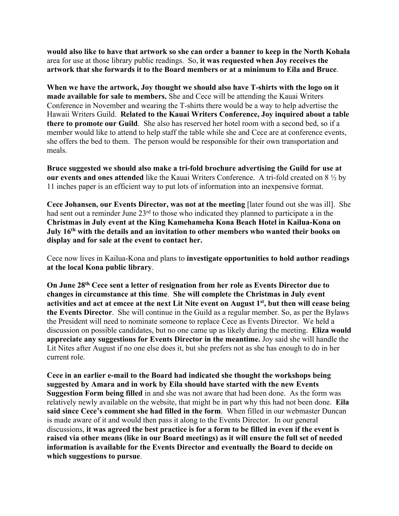**would also like to have that artwork so she can order a banner to keep in the North Kohala**  area for use at those library public readings. So, **it was requested when Joy receives the artwork that she forwards it to the Board members or at a minimum to Eila and Bruce**.

**When we have the artwork, Joy thought we should also have T-shirts with the logo on it made available for sale to members.** She and Cece will be attending the Kauai Writers Conference in November and wearing the T-shirts there would be a way to help advertise the Hawaii Writers Guild. **Related to the Kauai Writers Conference, Joy inquired about a table there to promote our Guild**. She also has reserved her hotel room with a second bed, so if a member would like to attend to help staff the table while she and Cece are at conference events, she offers the bed to them. The person would be responsible for their own transportation and meals.

**Bruce suggested we should also make a tri-fold brochure advertising the Guild for use at our events and ones attended** like the Kauai Writers Conference. A tri-fold created on 8 ½ by 11 inches paper is an efficient way to put lots of information into an inexpensive format.

**Cece Johansen, our Events Director, was not at the meeting** [later found out she was ill]. She had sent out a reminder June 23<sup>rd</sup> to those who indicated they planned to participate a in the **Christmas in July event at the King Kamehameha Kona Beach Hotel in Kailua-Kona on July 16th with the details and an invitation to other members who wanted their books on display and for sale at the event to contact her.** 

Cece now lives in Kailua-Kona and plans to **investigate opportunities to hold author readings at the local Kona public library**.

**On June 28th Cece sent a letter of resignation from her role as Events Director due to changes in circumstance at this time**. **She will complete the Christmas in July event activities and act at emcee at the next Lit Nite event on August 1st, but then will cease being the Events Director**. She will continue in the Guild as a regular member. So, as per the Bylaws the President will need to nominate someone to replace Cece as Events Director. We held a discussion on possible candidates, but no one came up as likely during the meeting. **Eliza would appreciate any suggestions for Events Director in the meantime.** Joy said she will handle the Lit Nites after August if no one else does it, but she prefers not as she has enough to do in her current role.

**Cece in an earlier e-mail to the Board had indicated she thought the workshops being suggested by Amara and in work by Eila should have started with the new Events Suggestion Form being filled** in and she was not aware that had been done. As the form was relatively newly available on the website, that might be in part why this had not been done. **Eila said since Cece's comment she had filled in the form**. When filled in our webmaster Duncan is made aware of it and would then pass it along to the Events Director. In our general discussions, **it was agreed the best practice is for a form to be filled in even if the event is raised via other means (like in our Board meetings) as it will ensure the full set of needed information is available for the Events Director and eventually the Board to decide on which suggestions to pursue**.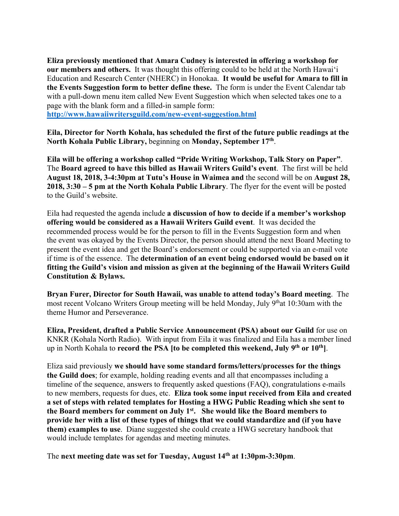**Eliza previously mentioned that Amara Cudney is interested in offering a workshop for our members and others.** It was thought this offering could to be held at the North Hawaiʻi Education and Research Center (NHERC) in Honokaa. **It would be useful for Amara to fill in the Events Suggestion form to better define these.** The form is under the Event Calendar tab with a pull-down menu item called New Event Suggestion which when selected takes one to a page with the blank form and a filled-in sample form:

**http://www.hawaiiwritersguild.com/new-event-suggestion.html**

**Eila, Director for North Kohala, has scheduled the first of the future public readings at the North Kohala Public Library,** beginning on **Monday, September 17th**.

**Eila will be offering a workshop called "Pride Writing Workshop, Talk Story on Paper"**. The **Board agreed to have this billed as Hawaii Writers Guild's event**. The first will be held **August 18, 2018, 3-4:30pm at Tutu's House in Waimea and** the second will be on **August 28, 2018, 3:30 – 5 pm at the North Kohala Public Library**. The flyer for the event will be posted to the Guild's website.

Eila had requested the agenda include **a discussion of how to decide if a member's workshop offering would be considered as a Hawaii Writers Guild event**. It was decided the recommended process would be for the person to fill in the Events Suggestion form and when the event was okayed by the Events Director, the person should attend the next Board Meeting to present the event idea and get the Board's endorsement or could be supported via an e-mail vote if time is of the essence. The **determination of an event being endorsed would be based on it fitting the Guild's vision and mission as given at the beginning of the Hawaii Writers Guild Constitution & Bylaws.**

**Bryan Furer, Director for South Hawaii, was unable to attend today's Board meeting**. The most recent Volcano Writers Group meeting will be held Monday, July 9that 10:30am with the theme Humor and Perseverance.

**Eliza, President, drafted a Public Service Announcement (PSA) about our Guild** for use on KNKR (Kohala North Radio). With input from Eila it was finalized and Eila has a member lined up in North Kohala to **record the PSA [to be completed this weekend, July 9th or 10th]**.

Eliza said previously **we should have some standard forms/letters/processes for the things the Guild does**; for example, holding reading events and all that encompasses including a timeline of the sequence, answers to frequently asked questions (FAQ), congratulations e-mails to new members, requests for dues, etc. **Eliza took some input received from Eila and created a set of steps with related templates for Hosting a HWG Public Reading which she sent to the Board members for comment on July 1st. She would like the Board members to provide her with a list of these types of things that we could standardize and (if you have them) examples to use**. Diane suggested she could create a HWG secretary handbook that would include templates for agendas and meeting minutes.

The **next meeting date was set for Tuesday, August 14th at 1:30pm-3:30pm**.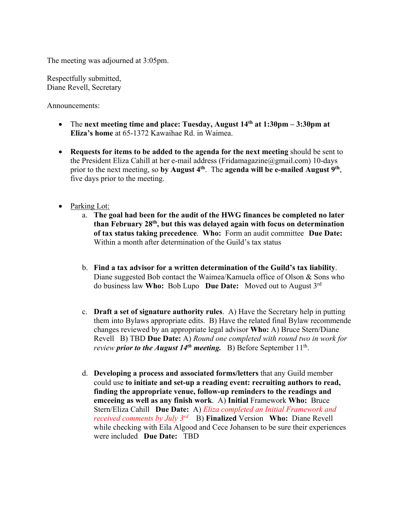The meeting was adjourned at 3:05pm.

Respectfully submitted, Diane Revell, Secretary

Announcements:

- The **next meeting time and place: Tuesday, August 14th at 1:30pm – 3:30pm at Eliza's home** at 65-1372 Kawaihae Rd. in Waimea.
- **Requests for items to be added to the agenda for the next meeting** should be sent to the President Eliza Cahill at her e-mail address (Fridamagazine@gmail.com) 10-days prior to the next meeting, so **by August 4th**. The **agenda will be e-mailed August 9th**, five days prior to the meeting.
- Parking Lot:
	- a. **The goal had been for the audit of the HWG finances be completed no later than February 28th, but this was delayed again with focus on determination of tax status taking precedence**. **Who:** Form an audit committee **Due Date:** Within a month after determination of the Guild's tax status
	- b. **Find a tax advisor for a written determination of the Guild's tax liability**. Diane suggested Bob contact the Waimea/Kamuela office of Olson & Sons who do business law **Who:** Bob Lupo **Due Date:** Moved out to August 3rd
	- c. **Draft a set of signature authority rules**. A) Have the Secretary help in putting them into Bylaws appropriate edits. B) Have the related final Bylaw recommende changes reviewed by an appropriate legal advisor **Who:** A) Bruce Stern/Diane Revell B) TBD **Due Date:** A) *Round one completed with round two in work for review prior to the August 14<sup>th</sup> meeting.* B) Before September 11<sup>th</sup>.
	- d. **Developing a process and associated forms/letters** that any Guild member could use **to initiate and set-up a reading event: recruiting authors to read, finding the appropriate venue, follow-up reminders to the readings and emceeing as well as any finish work**. A) **Initial** Framework **Who:** Bruce Stern/Eliza Cahill **Due Date:** A) *Eliza completed an Initial Framework and received comments by July 3rd* B) **Finalized** Version **Who:** Diane Revell while checking with Eila Algood and Cece Johansen to be sure their experiences were included **Due Date:** TBD